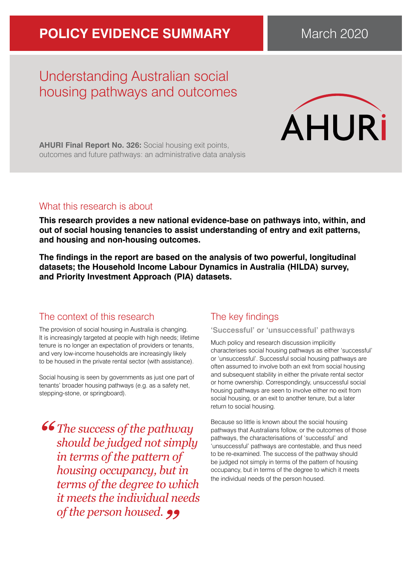# **POLICY EVIDENCE SUMMARY** March 2020

# Understanding Australian social housing pathways and outcomes



**AHURI Final Report No. 326:** Social housing exit points, outcomes and future pathways: an administrative data analysis

## What this research is about

**This research provides a new national evidence-base on pathways into, within, and out of social housing tenancies to assist understanding of entry and exit patterns, and housing and non-housing outcomes.** 

**The findings in the report are based on the analysis of two powerful, longitudinal datasets; the Household Income Labour Dynamics in Australia (HILDA) survey, and Priority Investment Approach (PIA) datasets.**

# The context of this research

The provision of social housing in Australia is changing. It is increasingly targeted at people with high needs; lifetime tenure is no longer an expectation of providers or tenants, and very low-income households are increasingly likely to be housed in the private rental sector (with assistance).

Social housing is seen by governments as just one part of tenants' broader housing pathways (e.g. as a safety net, stepping-stone, or springboard).

*" The success of the pathway should be judged not simply in terms of the pattern of housing occupancy, but in terms of the degree to which it meets the individual needs of the person housed.* **99** 

# The key findings

### **'Successful' or 'unsuccessful' pathways**

Much policy and research discussion implicitly characterises social housing pathways as either 'successful' or 'unsuccessful'. Successful social housing pathways are often assumed to involve both an exit from social housing and subsequent stability in either the private rental sector or home ownership. Correspondingly, unsuccessful social housing pathways are seen to involve either no exit from social housing, or an exit to another tenure, but a later return to social housing.

Because so little is known about the social housing pathways that Australians follow, or the outcomes of those pathways, the characterisations of 'successful' and 'unsuccessful' pathways are contestable, and thus need to be re-examined. The success of the pathway should be judged not simply in terms of the pattern of housing occupancy, but in terms of the degree to which it meets the individual needs of the person housed.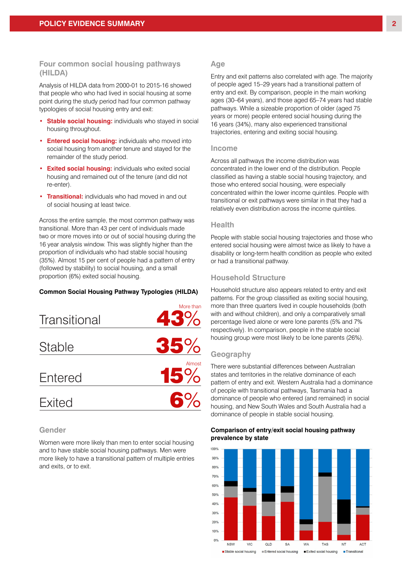#### **Four common social housing pathways (HILDA)**

Analysis of HILDA data from 2000-01 to 2015-16 showed that people who who had lived in social housing at some point during the study period had four common pathway typologies of social housing entry and exit:

- **Stable social housing:** individuals who stayed in social housing throughout.
- **Entered social housing:** individuals who moved into social housing from another tenure and stayed for the remainder of the study period.
- **Exited social housing:** individuals who exited social housing and remained out of the tenure (and did not re-enter).
- **Transitional:** individuals who had moved in and out of social housing at least twice.

Across the entire sample, the most common pathway was transitional. More than 43 per cent of individuals made two or more moves into or out of social housing during the 16 year analysis window. This was slightly higher than the proportion of individuals who had stable social housing (35%). Almost 15 per cent of people had a pattern of entry (followed by stability) to social housing, and a small proportion (6%) exited social housing. **Common Social Housing** 

#### **Common Social Housing Pathway Typologies (HILDA) Pathway Typologies**



#### **Gender**

Women were more likely than men to enter social housing and to have stable social housing pathways. Men were more likely to have a transitional pattern of multiple entries and exits, or to exit.

#### **Age**

Entry and exit patterns also correlated with age. The majority of people aged 15–29 years had a transitional pattern of entry and exit. By comparison, people in the main working ages (30–64 years), and those aged 65–74 years had stable pathways. While a sizeable proportion of older (aged 75 years or more) people entered social housing during the 16 years (34%), many also experienced transitional trajectories, entering and exiting social housing.

#### **Income**

Across all pathways the income distribution was concentrated in the lower end of the distribution. People classified as having a stable social housing trajectory, and those who entered social housing, were especially concentrated within the lower income quintiles. People with transitional or exit pathways were similar in that they had a relatively even distribution across the income quintiles.

#### **Health**

People with stable social housing trajectories and those who entered social housing were almost twice as likely to have a disability or long-term health condition as people who exited or had a transitional pathway.

#### **Household Structure**

Household structure also appears related to entry and exit patterns. For the group classified as exiting social housing, more than three quarters lived in couple households (both with and without children), and only a comparatively small percentage lived alone or were lone parents (5% and 7% respectively). In comparison, people in the stable social housing group were most likely to be lone parents (26%).

#### **Geography**

There were substantial differences between Australian states and territories in the relative dominance of each pattern of entry and exit. Western Australia had a dominance of people with transitional pathways, Tasmania had a dominance of people who entered (and remained) in social housing, and New South Wales and South Australia had a dominance of people in stable social housing.

#### **Comparison of entry/exit social housing pathway prevalence by state**

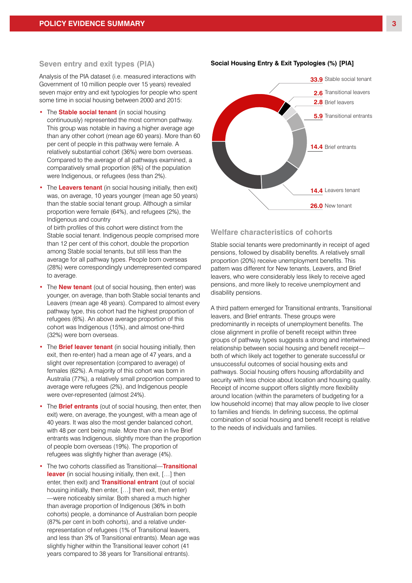#### **Seven entry and exit types (PIA)**

Analysis of the PIA dataset (i.e. measured interactions with Government of 10 million people over 15 years) revealed seven major entry and exit typologies for people who spent some time in social housing between 2000 and 2015:

- The **Stable social tenant** (in social housing continuously) represented the most common pathway. This group was notable in having a higher average age than any other cohort (mean age 60 years). More than 60 per cent of people in this pathway were female. A relatively substantial cohort (36%) were born overseas. Compared to the average of all pathways examined, a comparatively small proportion (6%) of the population were Indigenous, or refugees (less than 2%).
- The **Leavers tenant** (in social housing initially, then exit) was, on average, 10 years younger (mean age 50 years) than the stable social tenant group. Although a similar proportion were female (64%), and refugees (2%), the Indigenous and country

of birth profiles of this cohort were distinct from the Stable social tenant. Indigenous people comprised more than 12 per cent of this cohort, double the proportion among Stable social tenants, but still less than the average for all pathway types. People born overseas (28%) were correspondingly underrepresented compared to average.

- The **New tenant** (out of social housing, then enter) was younger, on average, than both Stable social tenants and Leavers (mean age 48 years). Compared to almost every pathway type, this cohort had the highest proportion of refugees (6%). An above average proportion of this cohort was Indigenous (15%), and almost one-third (32%) were born overseas.
- The **Brief leaver tenant** (in social housing initially, then exit, then re-enter) had a mean age of 47 years, and a slight over representation (compared to average) of females (62%). A majority of this cohort was born in Australia (77%), a relatively small proportion compared to average were refugees (2%), and Indigenous people were over-represented (almost 24%).
- The **Brief entrants** (out of social housing, then enter, then exit) were, on average, the youngest, with a mean age of 40 years. It was also the most gender balanced cohort, with 48 per cent being male. More than one in five Brief entrants was Indigenous, slightly more than the proportion of people born overseas (19%). The proportion of refugees was slightly higher than average (4%).
- The two cohorts classified as Transitional—**Transitional leaver** (in social housing initially, then exit, […] then enter, then exit) and **Transitional entrant** (out of social housing initially, then enter, […] then exit, then enter) —were noticeably similar. Both shared a much higher than average proportion of Indigenous (36% in both cohorts) people, a dominance of Australian born people (87% per cent in both cohorts), and a relative underrepresentation of refugees (1% of Transitional leavers, and less than 3% of Transitional entrants). Mean age was slightly higher within the Transitional leaver cohort (41 years compared to 38 years for Transitional entrants).



#### **Social Housing Entry & Exit Typologies (%) [PIA] Entry & Exit Typologies (%)**

#### **Welfare characteristics of cohorts**

Stable social tenants were predominantly in receipt of aged pensions, followed by disability benefits. A relatively small proportion (20%) receive unemployment benefits. This pattern was different for New tenants, Leavers, and Brief leavers, who were considerably less likely to receive aged pensions, and more likely to receive unemployment and disability pensions.

A third pattern emerged for Transitional entrants, Transitional leavers, and Brief entrants. These groups were predominantly in receipts of unemployment benefits. The close alignment in profile of benefit receipt within three groups of pathway types suggests a strong and intertwined relationship between social housing and benefit receipt both of which likely act together to generate successful or unsuccessful outcomes of social housing exits and pathways. Social housing offers housing affordability and security with less choice about location and housing quality. Receipt of income support offers slightly more flexibility around location (within the parameters of budgeting for a low household income) that may allow people to live closer to families and friends. In defining success, the optimal combination of social housing and benefit receipt is relative to the needs of individuals and families.